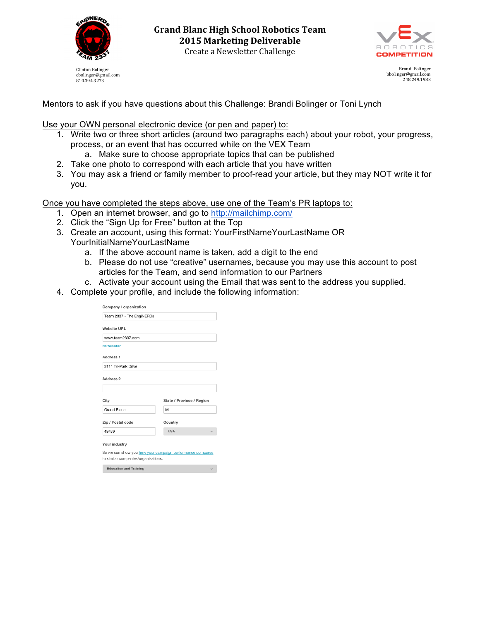

810.394.3273



Brandi Bolinger bbolinger@gmail.com 248.249.1983

Mentors to ask if you have questions about this Challenge: Brandi Bolinger or Toni Lynch

Use your OWN personal electronic device (or pen and paper) to:

- 1. Write two or three short articles (around two paragraphs each) about your robot, your progress, process, or an event that has occurred while on the VEX Team
	- a. Make sure to choose appropriate topics that can be published
- 2. Take one photo to correspond with each article that you have written
- 3. You may ask a friend or family member to proof-read your article, but they may NOT write it for you.

Once you have completed the steps above, use one of the Team's PR laptops to:

- 1. Open an internet browser, and go to http://mailchimp.com/
- 2. Click the "Sign Up for Free" button at the Top
- 3. Create an account, using this format: YourFirstNameYourLastName OR YourInitialNameYourLastName
	- a. If the above account name is taken, add a digit to the end
	- b. Please do not use "creative" usernames, because you may use this account to post articles for the Team, and send information to our Partners
	- c. Activate your account using the Email that was sent to the address you supplied.
- 4. Complete your profile, and include the following information:

| Company / organization              |                                                           |
|-------------------------------------|-----------------------------------------------------------|
| Team 2337 - The EngiNERDs           |                                                           |
| <b>Website URL</b>                  |                                                           |
| www.team2337.com                    |                                                           |
| No website?                         |                                                           |
| Address <sub>1</sub>                |                                                           |
| 3111 Tri-Park Drive                 |                                                           |
| Address 2                           |                                                           |
| City                                | State / Province / Region                                 |
| Grand Blanc                         | Mi                                                        |
| Zip / Postal code                   | Country                                                   |
| 48439                               | <b>USA</b>                                                |
| Your industry                       |                                                           |
|                                     | So we can show you how your campaign performance compares |
| to similar companies/organizations. |                                                           |
| <b>Education and Training</b>       |                                                           |